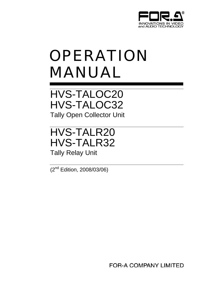

# OPERATION MANUAL

HVS-TALOC20 HVS-TALOC32 Tally Open Collector Unit

HVS-TALR20 HVS-TALR32 Tally Relay Unit

(2nd Edition, 2008/03/06)

**FOR-A COMPANY LIMITED**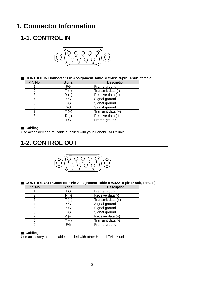# **1. Connector Information**

# **1-1. CONTROL IN**



## **CONTROL IN Connector Pin Assignment Table (RS422 9-pin D-sub, female)**

| PIN No. | Signal | Description       |
|---------|--------|-------------------|
|         | FG     | Frame ground      |
| 2       |        | Transmit data (-) |
| 3       | R (+   | Receive data (+)  |
|         | SG     | Signal ground     |
| 5       | SG     | Signal ground     |
| 6       | SG     | Signal ground     |
|         | $(+)$  | Transmit data (+) |
| 8       | R      | Receive data (-)  |
| 9       | FG     | Frame ground      |

## **Cabling**

Use accessory control cable supplied with your Hanabi TALLY unit.

# **1-2. CONTROL OUT**



## **CONTROL OUT Connector Pin Assignment Table (RS422 9-pin D-sub, female)**

| PIN No. | Signal | Description       |
|---------|--------|-------------------|
|         | FG     | Frame ground      |
|         |        | Receive data (-)  |
| 3       |        | Transmit data (+) |
|         | SG     | Signal ground     |
| 5       | SG     | Signal ground     |
| 6       | SG     | Signal ground     |
|         | $($ +  | Receive data (+)  |
| 8       |        | Transmit data (-  |
| 9       | FG     | Frame ground      |

## **Cabling**

Use accessory control cable supplied with other Hanabi TALLY unit.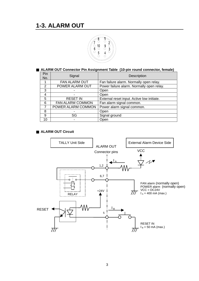

## **ALARM OUT Connector Pin Assignment Table (10-pin round connector, female)**

| Pin<br>No. | Signal                                                        | Description                               |
|------------|---------------------------------------------------------------|-------------------------------------------|
|            | FAN ALARM OUT                                                 | Fan failure alarm. Normally open relay.   |
| 2          | POWER ALARM OUT                                               | Power failure alarm. Normally open relay. |
| 3          |                                                               | Open                                      |
| 4          |                                                               | Open                                      |
| 5          | <b>RESET IN</b><br>External reset input. Active low initiate. |                                           |
| 6          | FAN ALARM COMMON<br>Fan alarm signal common.                  |                                           |
| 7          | POWER ALARM COMMON                                            | Power alarm signal common.                |
| 8          |                                                               | Open                                      |
| 9          | SG                                                            | Signal ground                             |
| 10         |                                                               | Open                                      |

## ■ **ALARM OUT Circuit**

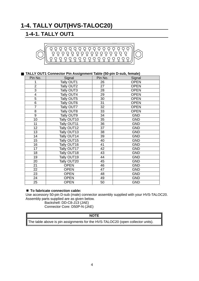# **1-4. TALLY OUT(HVS-TALOC20)**

## **1-4-1. TALLY OUT1**



## **TALLY OUT1 Connector Pin Assignment Table (50-pin D-sub, female)**

| Pin No.         | Signal      | Pin No. | Signal      |
|-----------------|-------------|---------|-------------|
| 1               | Tally OUT1  | 26      | <b>OPEN</b> |
| $\overline{2}$  | Tally OUT2  | 27      | <b>OPEN</b> |
| 3               | Tally OUT3  | 28      | <b>OPEN</b> |
| $\overline{4}$  | Tally OUT4  | 29      | <b>OPEN</b> |
| $\overline{5}$  | Tally OUT5  | 30      | <b>OPEN</b> |
| 6               | Tally OUT6  | 31      | <b>OPEN</b> |
| $\overline{7}$  | Tally OUT7  | 32      | <b>OPEN</b> |
| 8               | Tally OUT8  | 33      | <b>OPEN</b> |
| $\overline{9}$  | Tally OUT9  | 34      | <b>GND</b>  |
| 10              | Tally OUT10 | 35      | <b>GND</b>  |
| 11              | Tally OUT11 | 36      | <b>GND</b>  |
| $\overline{12}$ | Tally OUT12 | 37      | <b>GND</b>  |
| 13              | Tally OUT13 | 38      | <b>GND</b>  |
| 14              | Tally OUT14 | 39      | <b>GND</b>  |
| 15 <sub>1</sub> | Tally OUT15 | 40      | <b>GND</b>  |
| 16              | Tally OUT16 | 41      | <b>GND</b>  |
| 17              | Tally OUT17 | 42      | <b>GND</b>  |
| 18              | Tally OUT18 | 43      | <b>GND</b>  |
| 19              | Tally OUT19 | 44      | <b>GND</b>  |
| 20              | Tally OUT20 | 45      | <b>GND</b>  |
| 21              | <b>OPEN</b> | 46      | <b>GND</b>  |
| 22              | <b>OPEN</b> | 47      | <b>GND</b>  |
| 23              | <b>OPEN</b> | 48      | <b>GND</b>  |
| 24              | <b>OPEN</b> | 49      | <b>GND</b>  |
| 25              | <b>OPEN</b> | 50      | <b>GND</b>  |

## ■ To fabricate connection cable:

Use accessory 50-pin D-sub (male) connector assembly supplied with your HVS-TALOC20. Assembly parts supplied are as given below.

Backshell: DD-C8-J13 (JAE)

Connector Core: D50P-N (JAE)

#### **NOTE**

The table above is pin assignments for the HVS-TALOC20 (open collector units).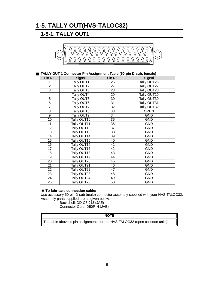# **1-5. TALLY OUT(HVS-TALOC32)**

## **1-5-1. TALLY OUT1**



## **TALLY OUT 1 Connector Pin Assignment Table (50-pin D-sub, female)**

| Pin No.          | Signal      | Pin No. | Signal      |
|------------------|-------------|---------|-------------|
| 1                | Tally OUT1  | 26      | Tally OUT26 |
| $\overline{2}$   | Tally OUT2  | 27      | Tally OUT27 |
| $\overline{3}$   | Tally OUT3  | 28      | Tally OUT28 |
| 4                | Tally OUT4  | 29      | Tally OUT29 |
| 5                | Tally OUT5  | 30      | Tally OUT30 |
| 6                | Tally OUT6  | 31      | Tally OUT31 |
| $\overline{7}$   | Tally OUT7  | 32      | Tally OUT32 |
| 8                | Tally OUT8  | 33      | <b>OPEN</b> |
| $\overline{9}$   | Tally OUT9  | 34      | <b>GND</b>  |
| 10               | Tally OUT10 | 35      | <b>GND</b>  |
| 11               | Tally OUT11 | 36      | <b>GND</b>  |
| 12               | Tally OUT12 | 37      | <b>GND</b>  |
| 13               | Tally OUT13 | 38      | <b>GND</b>  |
| 14               | Tally OUT14 | 39      | <b>GND</b>  |
| 15 <sub>15</sub> | Tally OUT15 | 40      | <b>GND</b>  |
| 16               | Tally OUT16 | 41      | <b>GND</b>  |
| 17               | Tally OUT17 | 42      | <b>GND</b>  |
| 18               | Tally OUT18 | 43      | <b>GND</b>  |
| 19               | Tally OUT19 | 44      | <b>GND</b>  |
| 20               | Tally OUT20 | 45      | <b>GND</b>  |
| 21               | Tally OUT21 | 46      | <b>GND</b>  |
| 22               | Tally OUT22 | 47      | <b>GND</b>  |
| 23               | Tally OUT23 | 48      | <b>GND</b>  |
| 24               | Tally OUT24 | 49      | <b>GND</b>  |
| 25               | Tally OUT25 | 50      | <b>GND</b>  |

## ■ To fabricate connection cable:

Use accessory 50-pin D-sub (male) connector assembly supplied with your HVS-TALOC32. Assembly parts supplied are as given below.

Backshell: DD-C8-J13 (JAE)

Connector Core: D50P-N (JAE)

## **NOTE**

The table above is pin assignments for the HVS-TALOC32 (open collector units).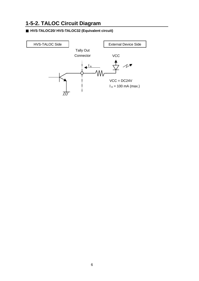## **1-5-2. TALOC Circuit Diagram**

## **HVS-TALOC20/ HVS-TALOC32 (Equivalent circuit)**

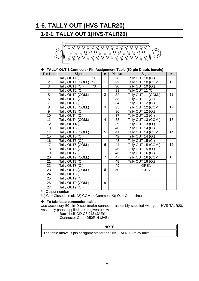# **1-6. TALLY OUT (HVS-TALR20)**

## **1-6-1. TALLY OUT 1(HVS-TALR20)**



## **TALLY OUT 1 Connector Pin Assignment Table (50-pin D-sub, female)**

| Pin No.        | Signal                              | #              | Pin No. | Signal               | #  |
|----------------|-------------------------------------|----------------|---------|----------------------|----|
| 1              | Tally OUT1 (C.)                     |                | 28      | Tally OUT 10 (C.)    |    |
| $\overline{2}$ | $\overline{2}$<br>Tally OUT1 (COM.) | 1              | 29      | Tally OUT 10 (COM.)  | 10 |
| 3              | *3<br>Tally OUT1<br>(O.)            |                | 30      | Tally OUT 10 (O.)    |    |
| 4              | Tally OUT2<br>(C.)                  |                | 31      | Tally OUT 11 $(C.)$  |    |
| $\overline{5}$ | Tally OUT2 (COM.)                   | $\overline{2}$ | 32      | Tally OUT 11 (COM.)  | 11 |
| $\overline{6}$ | Tally OUT2<br>(O.)                  |                | 33      | Tally OUT 11<br>(O.) |    |
| $\overline{7}$ | Tally OUT3 (C.)                     |                | 34      | Tally OUT 12 (C.)    |    |
| 8              | Tally OUT3 (COM.)                   | 3              | 35      | Tally OUT 12 (COM.)  | 12 |
| 9              | Tally<br><b>OUT3 (O.)</b>           |                | 36      | Tally OUT 12 (O.)    |    |
| 10             | Tally<br>OUT4 (C.)                  |                | 37      | Tally OUT 13 (C.)    |    |
| 11             | Tally OUT4 (COM.)                   | 4              | 38      | Tally OUT 13 (COM.)  | 13 |
| 12             | Tally<br><b>OUT4 (O.)</b>           |                | 39      | Tally OUT 13 (O.)    |    |
| 13             | Tally<br><b>OUT5 (C.)</b>           |                | 40      | Tally OUT 14 (C.)    |    |
| 14             | Tally OUT5 (COM.)                   | 5              | 41      | Tally OUT 14 (COM.)  | 14 |
| 15             | Tally<br><b>OUT5 (O.)</b>           |                | 42      | Tally OUT 14 (O.)    |    |
| 16             | Tally<br>OUT6 (C.)                  |                | 43      | Tally OUT 15 $(C.)$  |    |
| 17             | Tally OUT6 (COM.)                   | 6              | 44      | Tally OUT 15 (COM.)  | 15 |
| 18             | Tally OUT6 (O.)                     |                | 45      | Tally OUT 15 (O.)    |    |
| 19             | Tally<br>OUT7<br>(C <sub>1</sub> )  |                | 46      | Tally OUT 16 (C.)    |    |
| 20             | Tally OUT7 (COM.)                   | 7              | 47      | Tally OUT 16 (COM.)  | 16 |
| 21             | Tally OUT7<br>(O.)                  |                | 48      | Tally OUT 16 (O.)    |    |
| 22             | Tally OUT8 (C.)                     |                | 49      | <b>OPEN</b>          |    |
| 23             | Tally OUT8 (COM.)                   | 8              | 50      | <b>GND</b>           |    |
| 24             | Tally OUT8 (O.)                     |                |         |                      |    |
| 25             | Tally OUT9 (C.)                     |                |         |                      |    |
| 26             | Tally OUT9 (COM.)                   | 9              |         |                      |    |
| 27             | Tally OUT9 (O.)                     |                |         |                      |    |

# Output number

 $*$ 1) C. = Closed circuit,  $*$ 2) COM. = Common,  $*$ 3) O. = Open circuit

#### **To fabricate connection cable:**

Use accessory 50-pin D-sub (male) connector assembly supplied with your HVS-TALR20. Assembly parts supplied are as given below.

Backshell: DD-C8-J13 (JAE))

Connector Core: D50P-N (JAE)

## **NOTE**

The table above is pin assignments for the HVS-TALR20 (relay units).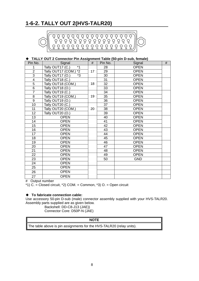# **1-6-2. TALLY OUT 2(HVS-TALR20)**



## **TALLY OUT 2 Connector Pin Assignment Table (50-pin D-sub, female)**

| Pin No.          | Signal                     | $\#$ | Pin No.         | Signal      | $\#$ |
|------------------|----------------------------|------|-----------------|-------------|------|
| 1                | $*1$<br>Tally OUT17 (C.)   |      | 28              | <b>OPEN</b> |      |
| $\overline{2}$   | $*2$<br>Tally OUT17 (COM.) | 17   | 29              | <b>OPEN</b> |      |
| $\overline{3}$   | *3<br>Tally OUT17 (O.)     |      | 30              | <b>OPEN</b> |      |
| $\overline{4}$   | Tally OUT18 (C.)           |      | 31              | <b>OPEN</b> |      |
| $\overline{5}$   | Tally OUT18 (COM.)         | 18   | 32              | <b>OPEN</b> |      |
| $\overline{6}$   | Tally OUT18 (O.)           |      | 33              | <b>OPEN</b> |      |
| $\overline{7}$   | Tally OUT19 (C.)           |      | 34              | <b>OPEN</b> |      |
| 8                | Tally OUT19 (COM.)         | 19   | 35              | <b>OPEN</b> |      |
| $\boldsymbol{9}$ | Tally OUT19 (O.)           |      | 36              | <b>OPEN</b> |      |
| 10               | Tally OUT20 (C.)           |      | $\overline{37}$ | <b>OPEN</b> |      |
| 11               | Tally OUT20 (COM.)         | 20   | 38              | <b>OPEN</b> |      |
| 12               | Tally OUT20 (O.)           |      | 39              | <b>OPEN</b> |      |
| 13               | <b>OPEN</b>                |      | 40              | <b>OPEN</b> |      |
| 14               | <b>OPEN</b>                |      | 41              | <b>OPEN</b> |      |
| 15               | <b>OPEN</b>                |      | 42              | <b>OPEN</b> |      |
| 16               | <b>OPEN</b>                |      | 43              | <b>OPEN</b> |      |
| 17               | <b>OPEN</b>                |      | 44              | <b>OPEN</b> |      |
| 18               | <b>OPEN</b>                |      | 45              | <b>OPEN</b> |      |
| 19               | <b>OPEN</b>                |      | 46              | <b>OPEN</b> |      |
| 20               | <b>OPEN</b>                |      | 47              | <b>OPEN</b> |      |
| 21               | <b>OPEN</b>                |      | 48              | <b>OPEN</b> |      |
| 22               | <b>OPEN</b>                |      | 49              | <b>OPEN</b> |      |
| 23               | <b>OPEN</b>                |      | 50              | <b>GND</b>  |      |
| 24               | <b>OPEN</b>                |      |                 |             |      |
| 25               | <b>OPEN</b>                |      |                 |             |      |
| 26               | <b>OPEN</b>                |      |                 |             |      |
| 27               | <b>OPEN</b>                |      |                 |             |      |

# Output number

 $*1)$  C. = Closed circuit,  $*2)$  COM. = Common,  $*3)$  O. = Open circuit

#### **To fabricate connection cable:**

Use accessory 50-pin D-sub (male) connector assembly supplied with your HVS-TALR20. Assembly parts supplied are as given below.

Backshell: DD-C8-J13 (JAE)) Connector Core: D50P-N (JAE)

#### **NOTE**

The table above is pin assignments for the HVS-TALR20 (relay units).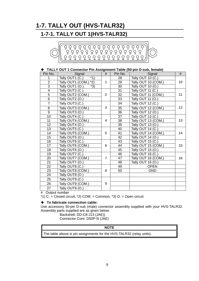# **1-7. TALLY OUT (HVS-TALR32)**

## **1-7-1. TALLY OUT 1(HVS-TALR32)**



## **TALLY OUT 1 Connector Pin Assignment Table (50-pin D-sub, female)**

| Pin No.                 | Signal                     | #              | Pin No. | Signal              | #  |
|-------------------------|----------------------------|----------------|---------|---------------------|----|
| 1                       | $*1)$<br>Tally OUT1 (C.)   |                | 28      | Tally OUT 10 (C.)   |    |
| $\overline{2}$          | $*2)$<br>Tally OUT1 (COM.) | 1              | 29      | Tally OUT 10 (COM.) | 10 |
| $\overline{3}$          | $*3)$<br>Tally OUT1 (O.)   |                | 30      | Tally OUT 10 (O.)   |    |
| $\overline{\mathbf{4}}$ | Tally OUT2 (C.)            |                | 31      | Tally OUT 11 (C.)   |    |
| $\overline{5}$          | Tally OUT2 (COM.)          | 2              | 32      | Tally OUT 11 (COM.) | 11 |
| $6 \overline{}$         | Tally OUT2 (O.)            |                | 33      | Tally OUT 11 (O.)   |    |
| $\overline{7}$          | Tally OUT3 (C.)            |                | 34      | Tally OUT 12 (C.)   |    |
| 8                       | Tally OUT3 (COM.)          | 3              | 35      | Tally OUT 12 (COM.) | 12 |
| $\overline{9}$          | Tally OUT3 (O.)            |                | 36      | Tally OUT 12 (O.)   |    |
| 10 <sup>1</sup>         | Tally OUT4 (C.)            |                | 37      | Tally OUT 13 (C.)   |    |
| 11                      | Tally OUT4 (COM.)          | 4              | 38      | Tally OUT 13 (COM.) | 13 |
| 12 <sub>2</sub>         | Tally OUT4 (O.)            |                | 39      | Tally OUT 13 (O.)   |    |
| 13                      | Tally OUT5 (C.)            |                | 40      | Tally OUT 14 (C.)   | 14 |
| 14                      | Tally OUT5 (COM.)          | 5              | 41      | Tally OUT 14 (COM.) |    |
| 15 <sub>15</sub>        | Tally OUT5 (O.)            |                | 42      | Tally OUT 14 (O.)   |    |
| 16                      | Tally OUT6 (C.)            |                | 43      | Tally OUT 15 (C.)   |    |
| 17                      | Tally OUT6 (COM.)          | 6              | 44      | Tally OUT 15 (COM.) | 15 |
| 18                      | Tally OUT6 (O.)            |                | 45      | Tally OUT 15 (O.)   |    |
| 19                      | Tally OUT7 (C.)            |                | 46      | Tally OUT 16 (C.)   |    |
| 20                      | Tally OUT7 (COM.)          | $\overline{7}$ | 47      | Tally OUT 16 (COM.) | 16 |
| 21                      | Tally OUT7 (O.)            |                | 48      | Tally OUT 16 (O.)   |    |
| 22                      | Tally OUT8 (C.)            |                | 49      | <b>OPEN</b>         |    |
| 23                      | Tally OUT8 (COM.)          | 8              | 50      | <b>GND</b>          |    |
| 24                      | Tally OUT8 (O.)            |                |         |                     |    |
| 25                      | Tally OUT9 (C.)            |                |         |                     |    |
| 26                      | Tally OUT9 (COM.)          | 9              |         |                     |    |
| 27                      | Tally OUT9 (O.)            |                |         |                     |    |

# Output number

\*1) C. = Closed circuit,  $*2$ ) COM. = Common,  $*3$ ) O. = Open circuit

#### **To fabricate connection cable:**

Use accessory 50-pin D-sub (male) connector assembly supplied with your HVS-TALR32. Assembly parts supplied are as given below.

Backshell: DD-C8-J13 (JAE))

Connector Core: D50P-N (JAE)

#### **NOTE**

The table above is pin assignments for the HVS-TALR32 (relay units).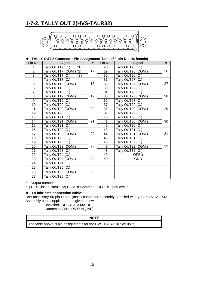# **1-7-2. TALLY OUT 2(HVS-TALR32)**



## **TALLY OUT 2 Connector Pin Assignment Table (50-pin D-sub, female)**

| Pin No.        | Signal                                    | #  | Pin No. | Signal                           | #  |
|----------------|-------------------------------------------|----|---------|----------------------------------|----|
| 1              | $*1)$<br>Tally OUT17 (C.)                 |    | 28      | Tally OUT26 (C.)                 |    |
| $\overline{2}$ | $*2)$<br>Tally OUT17 (COM.)               | 17 | 29      | Tally OUT26 (COM.)               | 26 |
| 3              | $*3)$<br>Tally OUT17<br>(O <sub>1</sub> ) |    | 30      | Tally OUT26 (O.)                 |    |
| 4              | Tally OUT18 (C.)                          |    | 31      | Tally OUT27 (C.)                 |    |
| 5              | Tally OUT18 (COM.)                        | 18 | 32      | Tally OUT27 (COM.)               | 27 |
| 6              | Tally OUT18 (O.)                          |    | 33      | Tally OUT27<br>(O <sub>1</sub> ) |    |
| $\overline{7}$ | Tally OUT19 (C.)                          |    | 34      | Tally OUT28 (C.)                 |    |
| 8              | Tally OUT19 (COM.)                        | 19 | 35      | Tally OUT28 (COM.)               | 28 |
| 9              | Tally OUT19<br>(O.)                       |    | 36      | Tally OUT28 (O.)                 |    |
| 10             | Tally OUT20 (C.)                          |    | 37      | Tally OUT29 (C.)                 |    |
| 11             | Tally OUT20 (COM.)                        | 20 | 38      | Tally OUT29 (COM.)               | 29 |
| 12             | Tally OUT20<br>(O <sub>1</sub> )          |    | 39      | Tally OUT29 (O.)                 |    |
| 13             | Tally OUT21<br>(C.)                       |    | 40      | Tally OUT30 (C.)                 |    |
| 14             | Tally OUT21 (COM.)                        | 21 | 41      | Tally OUT30 (COM.)               | 30 |
| 15             | Tally OUT21<br>(O <sub>1</sub> )          |    | 42      | Tally OUT30 (O.)                 |    |
| 16             | Tally OUT22 (C.)                          |    | 43      | Tally OUT31 (C.)                 |    |
| 17             | Tally OUT22 (COM.)                        | 22 | 44      | Tally OUT31 (COM.)               | 31 |
| 18             | Tally OUT22 (O.)                          |    | 45      | Tally OUT31 (0.)                 |    |
| 19             | Tally OUT23 (C.)                          |    | 46      | Tally OUT32 (C.)                 |    |
| 20             | Tally OUT23 (COM.)                        | 23 | 47      | Tally OUT32 (COM.)               | 32 |
| 21             | Tally OUT23 (O.)                          |    | 48      | Tally OUT32 (O.)                 |    |
| 22             | Tally OUT24 (C.)                          |    | 49      | <b>OPEN</b>                      |    |
| 23             | Tally OUT24 (COM.)                        | 24 | 50      | <b>GND</b>                       |    |
| 24             | Tally OUT24 (O.)                          |    |         |                                  |    |
| 25             | Tally OUT25 (C.)                          |    |         |                                  |    |
| 26             | Tally OUT25 (COM.)                        | 25 |         |                                  |    |
| 27             | Tally OUT25 (O.)                          |    |         |                                  |    |

# Output number

\*1) C. = Closed circuit, \*2) COM. = Common, \*3) O. = Open circuit

## **To fabricate connection cable:**

Use accessory 50-pin D-sub (male) connector assembly supplied with your HVS-TALR32. Assembly parts supplied are as given below.

Backshell: DD-C8-J13 (JAE)) Connector Core: D50P-N (JAE)

## **NOTE**

The table above is pin assignments for the HVS-TALR32 (relay units).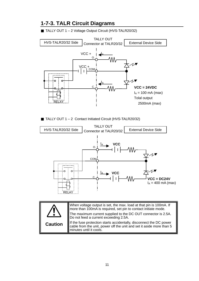

## **1-7-3. TALR Circuit Diagrams**

TALLY OUT 1 – 2 Voltage Output Circuit (HVS-TALR20/32)

TALLY OUT 1 – 2 Contact Initiated Circuit (HVS-TALR20/32)



|                | When voltage output is set, the max. load at that pin is 100mA. If<br>more than 100mA is required, set pin to contact initiate mode.<br>The maximum current supplied to the DC OUT connector is 2.5A. |
|----------------|-------------------------------------------------------------------------------------------------------------------------------------------------------------------------------------------------------|
|                | Do not feed a current exceeding 2.5A.                                                                                                                                                                 |
| <b>Caution</b> | If the fuse protection starts accidentally, disconnect the DC power<br>cable from the unit, power off the unit and set it aside more than 5<br>minutes until it cools.                                |